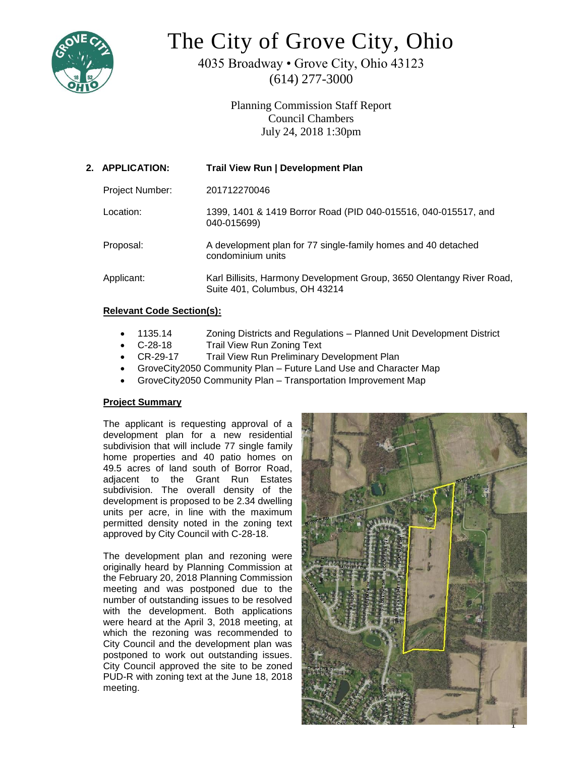

# The City of Grove City, Ohio

4035 Broadway • Grove City, Ohio 43123 (614) 277-3000

> Planning Commission Staff Report Council Chambers July 24, 2018 1:30pm

| 2. APPLICATION: | <b>Trail View Run   Development Plan</b>                                                               |
|-----------------|--------------------------------------------------------------------------------------------------------|
| Project Number: | 201712270046                                                                                           |
| Location:       | 1399, 1401 & 1419 Borror Road (PID 040-015516, 040-015517, and<br>040-015699)                          |
| Proposal:       | A development plan for 77 single-family homes and 40 detached<br>condominium units                     |
| Applicant:      | Karl Billisits, Harmony Development Group, 3650 Olentangy River Road,<br>Suite 401, Columbus, OH 43214 |
|                 |                                                                                                        |

# **Relevant Code Section(s):**

- 1135.14 Zoning Districts and Regulations Planned Unit Development District
- C-28-18 Trail View Run Zoning Text
- CR-29-17 Trail View Run Preliminary Development Plan
- GroveCity2050 Community Plan Future Land Use and Character Map
- GroveCity2050 Community Plan Transportation Improvement Map

# **Project Summary**

The applicant is requesting approval of a development plan for a new residential subdivision that will include 77 single family home properties and 40 patio homes on 49.5 acres of land south of Borror Road, adjacent to the Grant Run Estates subdivision. The overall density of the development is proposed to be 2.34 dwelling units per acre, in line with the maximum permitted density noted in the zoning text approved by City Council with C-28-18.

The development plan and rezoning were originally heard by Planning Commission at the February 20, 2018 Planning Commission meeting and was postponed due to the number of outstanding issues to be resolved with the development. Both applications were heard at the April 3, 2018 meeting, at which the rezoning was recommended to City Council and the development plan was postponed to work out outstanding issues. City Council approved the site to be zoned PUD-R with zoning text at the June 18, 2018 meeting.

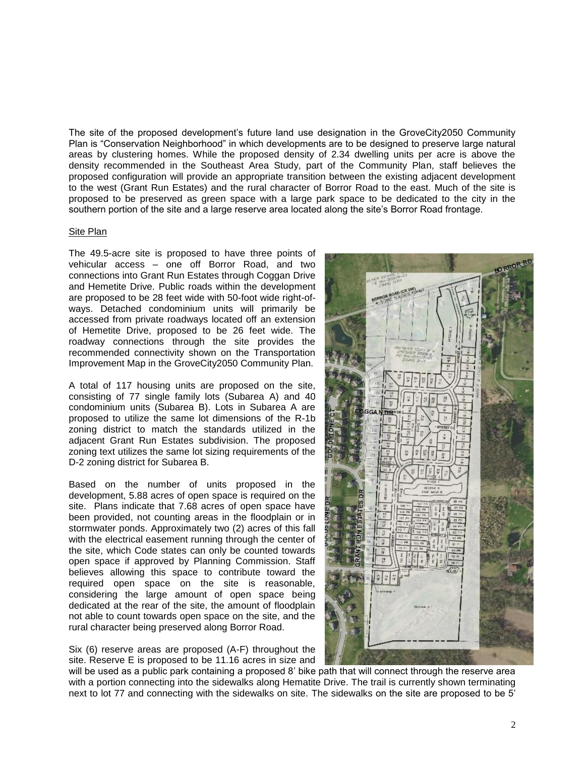The site of the proposed development's future land use designation in the GroveCity2050 Community Plan is "Conservation Neighborhood" in which developments are to be designed to preserve large natural areas by clustering homes. While the proposed density of 2.34 dwelling units per acre is above the density recommended in the Southeast Area Study, part of the Community Plan, staff believes the proposed configuration will provide an appropriate transition between the existing adjacent development to the west (Grant Run Estates) and the rural character of Borror Road to the east. Much of the site is proposed to be preserved as green space with a large park space to be dedicated to the city in the southern portion of the site and a large reserve area located along the site's Borror Road frontage.

#### Site Plan

The 49.5-acre site is proposed to have three points of vehicular access – one off Borror Road, and two connections into Grant Run Estates through Coggan Drive and Hemetite Drive. Public roads within the development are proposed to be 28 feet wide with 50-foot wide right-ofways. Detached condominium units will primarily be accessed from private roadways located off an extension of Hemetite Drive, proposed to be 26 feet wide. The roadway connections through the site provides the recommended connectivity shown on the Transportation Improvement Map in the GroveCity2050 Community Plan.

A total of 117 housing units are proposed on the site, consisting of 77 single family lots (Subarea A) and 40 condominium units (Subarea B). Lots in Subarea A are proposed to utilize the same lot dimensions of the R-1b zoning district to match the standards utilized in the adjacent Grant Run Estates subdivision. The proposed zoning text utilizes the same lot sizing requirements of the D-2 zoning district for Subarea B.

Based on the number of units proposed in the development, 5.88 acres of open space is required on the site. Plans indicate that 7.68 acres of open space have been provided, not counting areas in the floodplain or in stormwater ponds. Approximately two (2) acres of this fall with the electrical easement running through the center of the site, which Code states can only be counted towards open space if approved by Planning Commission. Staff believes allowing this space to contribute toward the required open space on the site is reasonable, considering the large amount of open space being dedicated at the rear of the site, the amount of floodplain not able to count towards open space on the site, and the rural character being preserved along Borror Road.

Six (6) reserve areas are proposed (A-F) throughout the site. Reserve E is proposed to be 11.16 acres in size and

will be used as a public park containing a proposed 8' bike path that will connect through the reserve area with a portion connecting into the sidewalks along Hematite Drive. The trail is currently shown terminating next to lot 77 and connecting with the sidewalks on site. The sidewalks on the site are proposed to be 5'

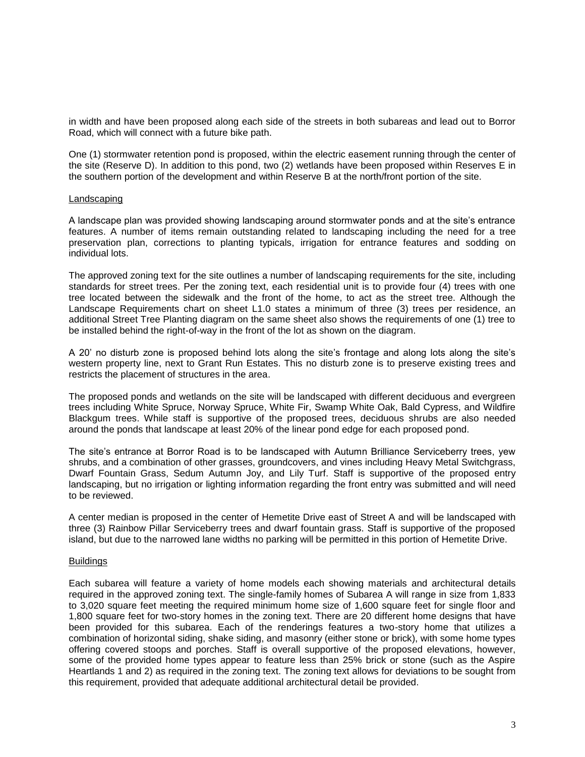in width and have been proposed along each side of the streets in both subareas and lead out to Borror Road, which will connect with a future bike path.

One (1) stormwater retention pond is proposed, within the electric easement running through the center of the site (Reserve D). In addition to this pond, two (2) wetlands have been proposed within Reserves E in the southern portion of the development and within Reserve B at the north/front portion of the site.

#### Landscaping

A landscape plan was provided showing landscaping around stormwater ponds and at the site's entrance features. A number of items remain outstanding related to landscaping including the need for a tree preservation plan, corrections to planting typicals, irrigation for entrance features and sodding on individual lots.

The approved zoning text for the site outlines a number of landscaping requirements for the site, including standards for street trees. Per the zoning text, each residential unit is to provide four (4) trees with one tree located between the sidewalk and the front of the home, to act as the street tree. Although the Landscape Requirements chart on sheet L1.0 states a minimum of three (3) trees per residence, an additional Street Tree Planting diagram on the same sheet also shows the requirements of one (1) tree to be installed behind the right-of-way in the front of the lot as shown on the diagram.

A 20' no disturb zone is proposed behind lots along the site's frontage and along lots along the site's western property line, next to Grant Run Estates. This no disturb zone is to preserve existing trees and restricts the placement of structures in the area.

The proposed ponds and wetlands on the site will be landscaped with different deciduous and evergreen trees including White Spruce, Norway Spruce, White Fir, Swamp White Oak, Bald Cypress, and Wildfire Blackgum trees. While staff is supportive of the proposed trees, deciduous shrubs are also needed around the ponds that landscape at least 20% of the linear pond edge for each proposed pond.

The site's entrance at Borror Road is to be landscaped with Autumn Brilliance Serviceberry trees, yew shrubs, and a combination of other grasses, groundcovers, and vines including Heavy Metal Switchgrass, Dwarf Fountain Grass, Sedum Autumn Joy, and Lily Turf. Staff is supportive of the proposed entry landscaping, but no irrigation or lighting information regarding the front entry was submitted and will need to be reviewed.

A center median is proposed in the center of Hemetite Drive east of Street A and will be landscaped with three (3) Rainbow Pillar Serviceberry trees and dwarf fountain grass. Staff is supportive of the proposed island, but due to the narrowed lane widths no parking will be permitted in this portion of Hemetite Drive.

#### Buildings

Each subarea will feature a variety of home models each showing materials and architectural details required in the approved zoning text. The single-family homes of Subarea A will range in size from 1,833 to 3,020 square feet meeting the required minimum home size of 1,600 square feet for single floor and 1,800 square feet for two-story homes in the zoning text. There are 20 different home designs that have been provided for this subarea. Each of the renderings features a two-story home that utilizes a combination of horizontal siding, shake siding, and masonry (either stone or brick), with some home types offering covered stoops and porches. Staff is overall supportive of the proposed elevations, however, some of the provided home types appear to feature less than 25% brick or stone (such as the Aspire Heartlands 1 and 2) as required in the zoning text. The zoning text allows for deviations to be sought from this requirement, provided that adequate additional architectural detail be provided.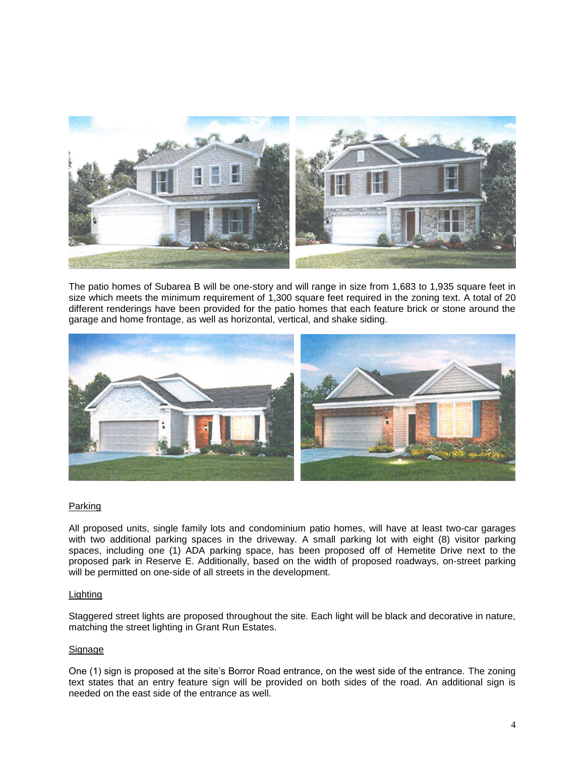

The patio homes of Subarea B will be one-story and will range in size from 1,683 to 1,935 square feet in size which meets the minimum requirement of 1,300 square feet required in the zoning text. A total of 20 different renderings have been provided for the patio homes that each feature brick or stone around the garage and home frontage, as well as horizontal, vertical, and shake siding.



## Parking

All proposed units, single family lots and condominium patio homes, will have at least two-car garages with two additional parking spaces in the driveway. A small parking lot with eight (8) visitor parking spaces, including one (1) ADA parking space, has been proposed off of Hemetite Drive next to the proposed park in Reserve E. Additionally, based on the width of proposed roadways, on-street parking will be permitted on one-side of all streets in the development.

## **Lighting**

Staggered street lights are proposed throughout the site. Each light will be black and decorative in nature, matching the street lighting in Grant Run Estates.

## Signage

One (1) sign is proposed at the site's Borror Road entrance, on the west side of the entrance. The zoning text states that an entry feature sign will be provided on both sides of the road. An additional sign is needed on the east side of the entrance as well.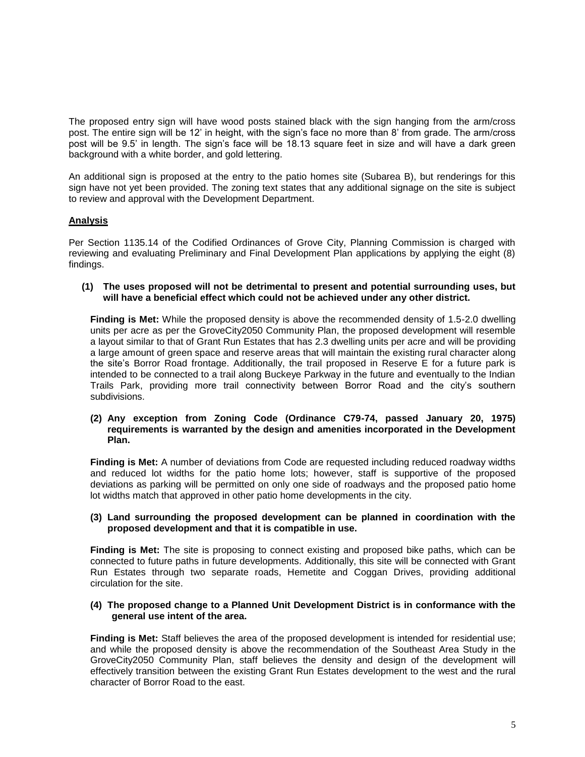The proposed entry sign will have wood posts stained black with the sign hanging from the arm/cross post. The entire sign will be 12' in height, with the sign's face no more than 8' from grade. The arm/cross post will be 9.5' in length. The sign's face will be 18.13 square feet in size and will have a dark green background with a white border, and gold lettering.

An additional sign is proposed at the entry to the patio homes site (Subarea B), but renderings for this sign have not yet been provided. The zoning text states that any additional signage on the site is subject to review and approval with the Development Department.

# **Analysis**

Per Section 1135.14 of the Codified Ordinances of Grove City, Planning Commission is charged with reviewing and evaluating Preliminary and Final Development Plan applications by applying the eight (8) findings.

**(1) The uses proposed will not be detrimental to present and potential surrounding uses, but will have a beneficial effect which could not be achieved under any other district.**

**Finding is Met:** While the proposed density is above the recommended density of 1.5-2.0 dwelling units per acre as per the GroveCity2050 Community Plan, the proposed development will resemble a layout similar to that of Grant Run Estates that has 2.3 dwelling units per acre and will be providing a large amount of green space and reserve areas that will maintain the existing rural character along the site's Borror Road frontage. Additionally, the trail proposed in Reserve E for a future park is intended to be connected to a trail along Buckeye Parkway in the future and eventually to the Indian Trails Park, providing more trail connectivity between Borror Road and the city's southern subdivisions.

## **(2) Any exception from Zoning Code (Ordinance C79-74, passed January 20, 1975) requirements is warranted by the design and amenities incorporated in the Development Plan.**

**Finding is Met:** A number of deviations from Code are requested including reduced roadway widths and reduced lot widths for the patio home lots; however, staff is supportive of the proposed deviations as parking will be permitted on only one side of roadways and the proposed patio home lot widths match that approved in other patio home developments in the city.

## **(3) Land surrounding the proposed development can be planned in coordination with the proposed development and that it is compatible in use.**

**Finding is Met:** The site is proposing to connect existing and proposed bike paths, which can be connected to future paths in future developments. Additionally, this site will be connected with Grant Run Estates through two separate roads, Hemetite and Coggan Drives, providing additional circulation for the site.

#### **(4) The proposed change to a Planned Unit Development District is in conformance with the general use intent of the area.**

**Finding is Met:** Staff believes the area of the proposed development is intended for residential use; and while the proposed density is above the recommendation of the Southeast Area Study in the GroveCity2050 Community Plan, staff believes the density and design of the development will effectively transition between the existing Grant Run Estates development to the west and the rural character of Borror Road to the east.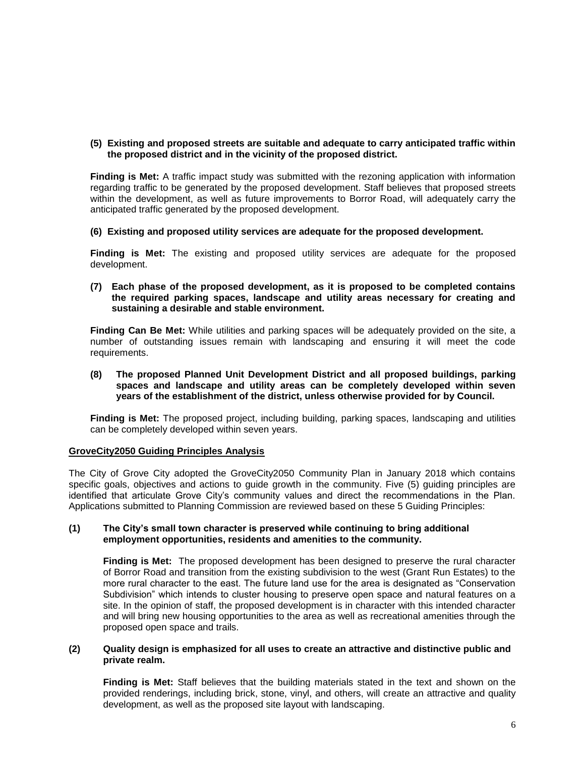## **(5) Existing and proposed streets are suitable and adequate to carry anticipated traffic within the proposed district and in the vicinity of the proposed district.**

**Finding is Met:** A traffic impact study was submitted with the rezoning application with information regarding traffic to be generated by the proposed development. Staff believes that proposed streets within the development, as well as future improvements to Borror Road, will adequately carry the anticipated traffic generated by the proposed development.

## **(6) Existing and proposed utility services are adequate for the proposed development.**

**Finding is Met:** The existing and proposed utility services are adequate for the proposed development.

**(7) Each phase of the proposed development, as it is proposed to be completed contains the required parking spaces, landscape and utility areas necessary for creating and sustaining a desirable and stable environment.**

**Finding Can Be Met:** While utilities and parking spaces will be adequately provided on the site, a number of outstanding issues remain with landscaping and ensuring it will meet the code requirements.

**(8) The proposed Planned Unit Development District and all proposed buildings, parking spaces and landscape and utility areas can be completely developed within seven years of the establishment of the district, unless otherwise provided for by Council.**

**Finding is Met:** The proposed project, including building, parking spaces, landscaping and utilities can be completely developed within seven years.

## **GroveCity2050 Guiding Principles Analysis**

The City of Grove City adopted the GroveCity2050 Community Plan in January 2018 which contains specific goals, objectives and actions to guide growth in the community. Five (5) guiding principles are identified that articulate Grove City's community values and direct the recommendations in the Plan. Applications submitted to Planning Commission are reviewed based on these 5 Guiding Principles:

## **(1) The City's small town character is preserved while continuing to bring additional employment opportunities, residents and amenities to the community.**

**Finding is Met:** The proposed development has been designed to preserve the rural character of Borror Road and transition from the existing subdivision to the west (Grant Run Estates) to the more rural character to the east. The future land use for the area is designated as "Conservation Subdivision" which intends to cluster housing to preserve open space and natural features on a site. In the opinion of staff, the proposed development is in character with this intended character and will bring new housing opportunities to the area as well as recreational amenities through the proposed open space and trails.

## **(2) Quality design is emphasized for all uses to create an attractive and distinctive public and private realm.**

**Finding is Met:** Staff believes that the building materials stated in the text and shown on the provided renderings, including brick, stone, vinyl, and others, will create an attractive and quality development, as well as the proposed site layout with landscaping.